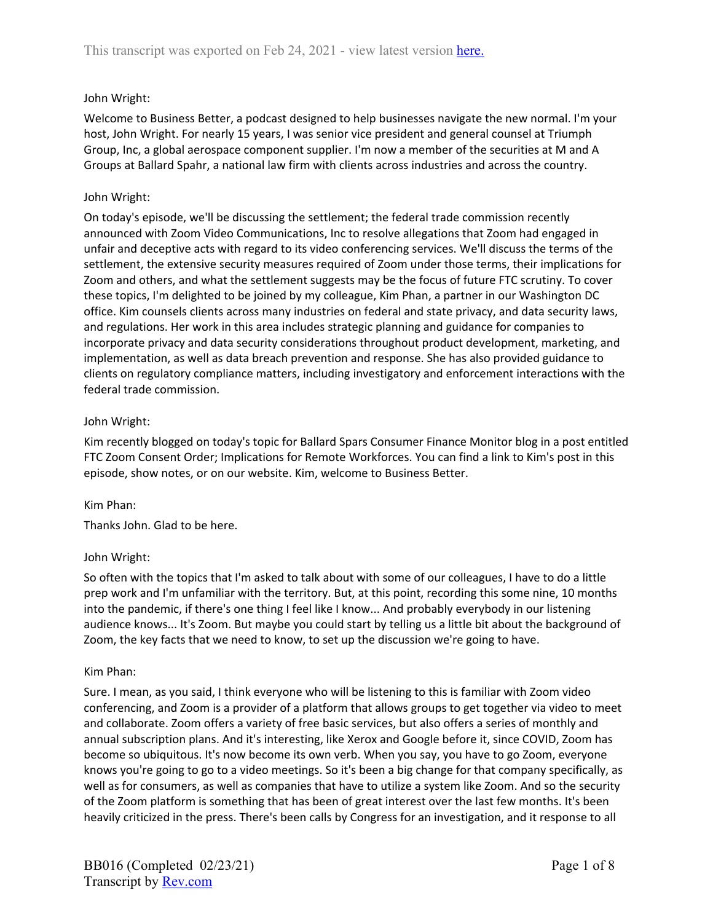# John Wright:

Welcome to Business Better, a podcast designed to help businesses navigate the new normal. I'm your host, John Wright. For nearly 15 years, I was senior vice president and general counsel at Triumph Group, Inc, a global aerospace component supplier. I'm now a member of the securities at M and A Groups at Ballard Spahr, a national law firm with clients across industries and across the country.

## John Wright:

On today's episode, we'll be discussing the settlement; the federal trade commission recently announced with Zoom Video Communications, Inc to resolve allegations that Zoom had engaged in unfair and deceptive acts with regard to its video conferencing services. We'll discuss the terms of the settlement, the extensive security measures required of Zoom under those terms, their implications for Zoom and others, and what the settlement suggests may be the focus of future FTC scrutiny. To cover these topics, I'm delighted to be joined by my colleague, Kim Phan, a partner in our Washington DC office. Kim counsels clients across many industries on federal and state privacy, and data security laws, and regulations. Her work in this area includes strategic planning and guidance for companies to incorporate privacy and data security considerations throughout product development, marketing, and implementation, as well as data breach prevention and response. She has also provided guidance to clients on regulatory compliance matters, including investigatory and enforcement interactions with the federal trade commission.

## John Wright:

Kim recently blogged on today's topic for Ballard Spars Consumer Finance Monitor blog in a post entitled FTC Zoom Consent Order; Implications for Remote Workforces. You can find a link to Kim's post in this episode, show notes, or on our website. Kim, welcome to Business Better.

# Kim Phan:

Thanks John. Glad to be here.

# John Wright:

So often with the topics that I'm asked to talk about with some of our colleagues, I have to do a little prep work and I'm unfamiliar with the territory. But, at this point, recording this some nine, 10 months into the pandemic, if there's one thing I feel like I know... And probably everybody in our listening audience knows... It's Zoom. But maybe you could start by telling us a little bit about the background of Zoom, the key facts that we need to know, to set up the discussion we're going to have.

### Kim Phan:

Sure. I mean, as you said, I think everyone who will be listening to this is familiar with Zoom video conferencing, and Zoom is a provider of a platform that allows groups to get together via video to meet and collaborate. Zoom offers a variety of free basic services, but also offers a series of monthly and annual subscription plans. And it's interesting, like Xerox and Google before it, since COVID, Zoom has become so ubiquitous. It's now become its own verb. When you say, you have to go Zoom, everyone knows you're going to go to a video meetings. So it's been a big change for that company specifically, as well as for consumers, as well as companies that have to utilize a system like Zoom. And so the security of the Zoom platform is something that has been of great interest over the last few months. It's been heavily criticized in the press. There's been calls by Congress for an investigation, and it response to all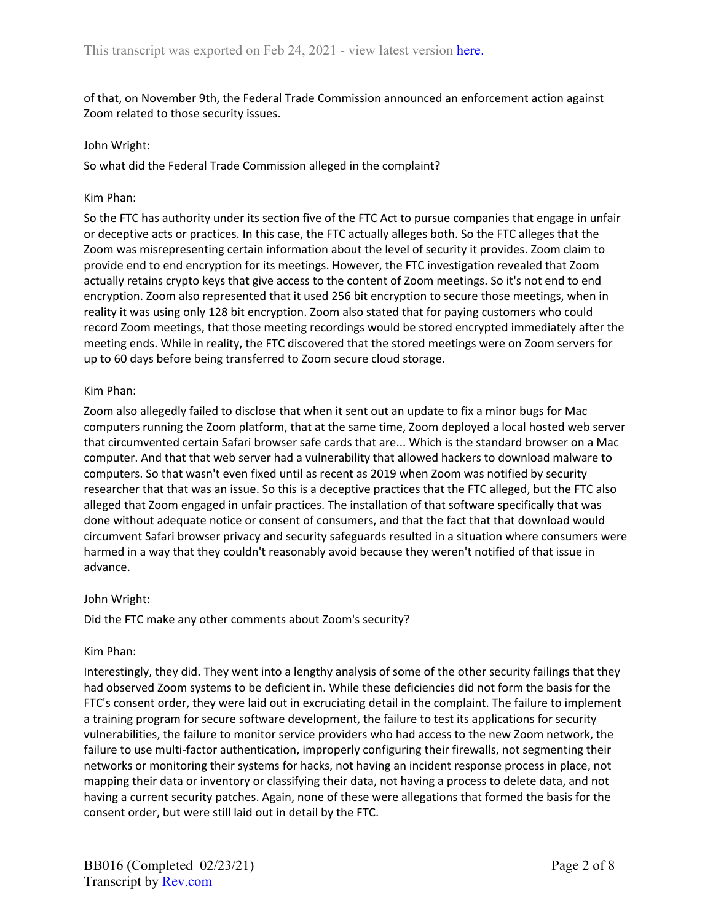of that, on November 9th, the Federal Trade Commission announced an enforcement action against Zoom related to those security issues.

#### John Wright:

So what did the Federal Trade Commission alleged in the complaint?

#### Kim Phan:

So the FTC has authority under its section five of the FTC Act to pursue companies that engage in unfair or deceptive acts or practices. In this case, the FTC actually alleges both. So the FTC alleges that the Zoom was misrepresenting certain information about the level of security it provides. Zoom claim to provide end to end encryption for its meetings. However, the FTC investigation revealed that Zoom actually retains crypto keys that give access to the content of Zoom meetings. So it's not end to end encryption. Zoom also represented that it used 256 bit encryption to secure those meetings, when in reality it was using only 128 bit encryption. Zoom also stated that for paying customers who could record Zoom meetings, that those meeting recordings would be stored encrypted immediately after the meeting ends. While in reality, the FTC discovered that the stored meetings were on Zoom servers for up to 60 days before being transferred to Zoom secure cloud storage.

#### Kim Phan:

Zoom also allegedly failed to disclose that when it sent out an update to fix a minor bugs for Mac computers running the Zoom platform, that at the same time, Zoom deployed a local hosted web server that circumvented certain Safari browser safe cards that are... Which is the standard browser on a Mac computer. And that that web server had a vulnerability that allowed hackers to download malware to computers. So that wasn't even fixed until as recent as 2019 when Zoom was notified by security researcher that that was an issue. So this is a deceptive practices that the FTC alleged, but the FTC also alleged that Zoom engaged in unfair practices. The installation of that software specifically that was done without adequate notice or consent of consumers, and that the fact that that download would circumvent Safari browser privacy and security safeguards resulted in a situation where consumers were harmed in a way that they couldn't reasonably avoid because they weren't notified of that issue in advance.

### John Wright:

Did the FTC make any other comments about Zoom's security?

### Kim Phan:

Interestingly, they did. They went into a lengthy analysis of some of the other security failings that they had observed Zoom systems to be deficient in. While these deficiencies did not form the basis for the FTC's consent order, they were laid out in excruciating detail in the complaint. The failure to implement a training program for secure software development, the failure to test its applications for security vulnerabilities, the failure to monitor service providers who had access to the new Zoom network, the failure to use multi-factor authentication, improperly configuring their firewalls, not segmenting their networks or monitoring their systems for hacks, not having an incident response process in place, not mapping their data or inventory or classifying their data, not having a process to delete data, and not having a current security patches. Again, none of these were allegations that formed the basis for the consent order, but were still laid out in detail by the FTC.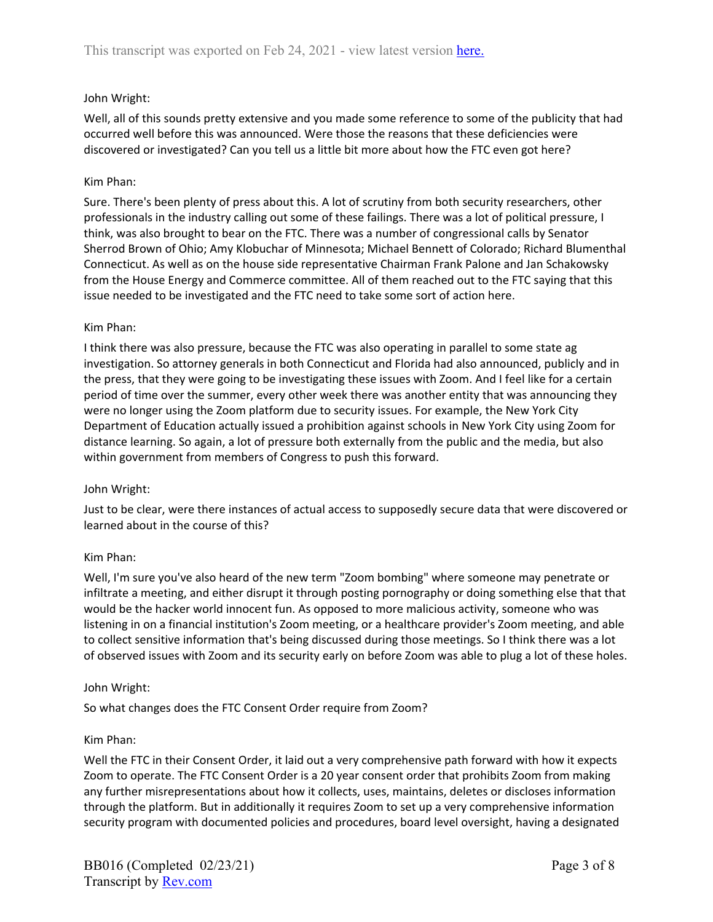# John Wright:

Well, all of this sounds pretty extensive and you made some reference to some of the publicity that had occurred well before this was announced. Were those the reasons that these deficiencies were discovered or investigated? Can you tell us a little bit more about how the FTC even got here?

# Kim Phan:

Sure. There's been plenty of press about this. A lot of scrutiny from both security researchers, other professionals in the industry calling out some of these failings. There was a lot of political pressure, I think, was also brought to bear on the FTC. There was a number of congressional calls by Senator Sherrod Brown of Ohio; Amy Klobuchar of Minnesota; Michael Bennett of Colorado; Richard Blumenthal Connecticut. As well as on the house side representative Chairman Frank Palone and Jan Schakowsky from the House Energy and Commerce committee. All of them reached out to the FTC saying that this issue needed to be investigated and the FTC need to take some sort of action here.

## Kim Phan:

I think there was also pressure, because the FTC was also operating in parallel to some state ag investigation. So attorney generals in both Connecticut and Florida had also announced, publicly and in the press, that they were going to be investigating these issues with Zoom. And I feel like for a certain period of time over the summer, every other week there was another entity that was announcing they were no longer using the Zoom platform due to security issues. For example, the New York City Department of Education actually issued a prohibition against schools in New York City using Zoom for distance learning. So again, a lot of pressure both externally from the public and the media, but also within government from members of Congress to push this forward.

# John Wright:

Just to be clear, were there instances of actual access to supposedly secure data that were discovered or learned about in the course of this?

# Kim Phan:

Well, I'm sure you've also heard of the new term "Zoom bombing" where someone may penetrate or infiltrate a meeting, and either disrupt it through posting pornography or doing something else that that would be the hacker world innocent fun. As opposed to more malicious activity, someone who was listening in on a financial institution's Zoom meeting, or a healthcare provider's Zoom meeting, and able to collect sensitive information that's being discussed during those meetings. So I think there was a lot of observed issues with Zoom and its security early on before Zoom was able to plug a lot of these holes.

### John Wright:

So what changes does the FTC Consent Order require from Zoom?

### Kim Phan:

Well the FTC in their Consent Order, it laid out a very comprehensive path forward with how it expects Zoom to operate. The FTC Consent Order is a 20 year consent order that prohibits Zoom from making any further misrepresentations about how it collects, uses, maintains, deletes or discloses information through the platform. But in additionally it requires Zoom to set up a very comprehensive information security program with documented policies and procedures, board level oversight, having a designated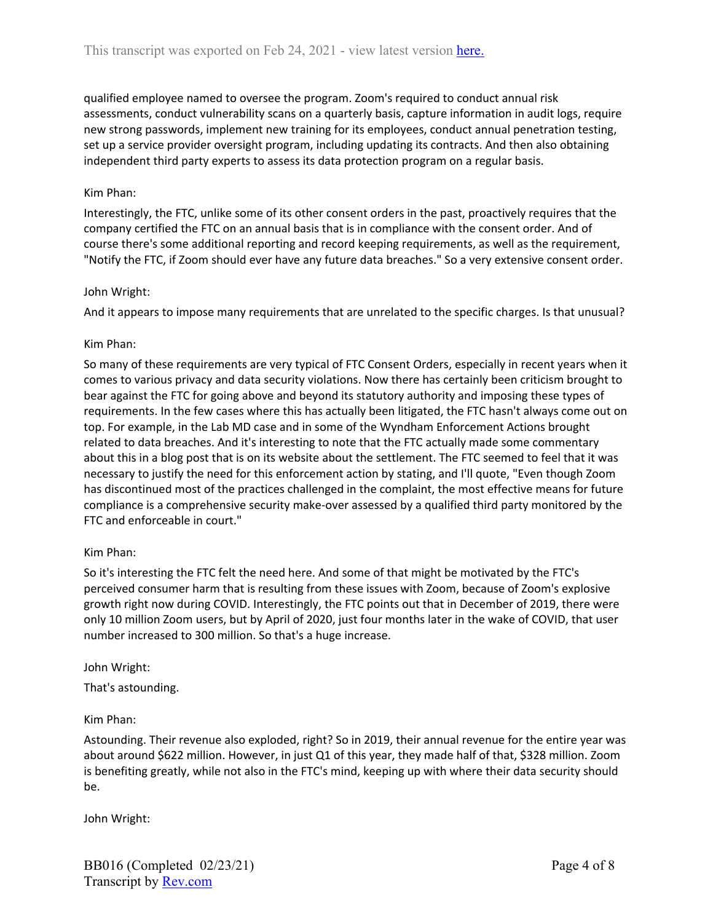qualified employee named to oversee the program. Zoom's required to conduct annual risk assessments, conduct vulnerability scans on a quarterly basis, capture information in audit logs, require new strong passwords, implement new training for its employees, conduct annual penetration testing, set up a service provider oversight program, including updating its contracts. And then also obtaining independent third party experts to assess its data protection program on a regular basis.

## Kim Phan:

Interestingly, the FTC, unlike some of its other consent orders in the past, proactively requires that the company certified the FTC on an annual basis that is in compliance with the consent order. And of course there's some additional reporting and record keeping requirements, as well as the requirement, "Notify the FTC, if Zoom should ever have any future data breaches." So a very extensive consent order.

### John Wright:

And it appears to impose many requirements that are unrelated to the specific charges. Is that unusual?

### Kim Phan:

So many of these requirements are very typical of FTC Consent Orders, especially in recent years when it comes to various privacy and data security violations. Now there has certainly been criticism brought to bear against the FTC for going above and beyond its statutory authority and imposing these types of requirements. In the few cases where this has actually been litigated, the FTC hasn't always come out on top. For example, in the Lab MD case and in some of the Wyndham Enforcement Actions brought related to data breaches. And it's interesting to note that the FTC actually made some commentary about this in a blog post that is on its website about the settlement. The FTC seemed to feel that it was necessary to justify the need for this enforcement action by stating, and I'll quote, "Even though Zoom has discontinued most of the practices challenged in the complaint, the most effective means for future compliance is a comprehensive security make-over assessed by a qualified third party monitored by the FTC and enforceable in court."

### Kim Phan:

So it's interesting the FTC felt the need here. And some of that might be motivated by the FTC's perceived consumer harm that is resulting from these issues with Zoom, because of Zoom's explosive growth right now during COVID. Interestingly, the FTC points out that in December of 2019, there were only 10 million Zoom users, but by April of 2020, just four months later in the wake of COVID, that user number increased to 300 million. So that's a huge increase.

### John Wright:

That's astounding.

### Kim Phan:

Astounding. Their revenue also exploded, right? So in 2019, their annual revenue for the entire year was about around \$622 million. However, in just Q1 of this year, they made half of that, \$328 million. Zoom is benefiting greatly, while not also in the FTC's mind, keeping up with where their data security should be.

John Wright: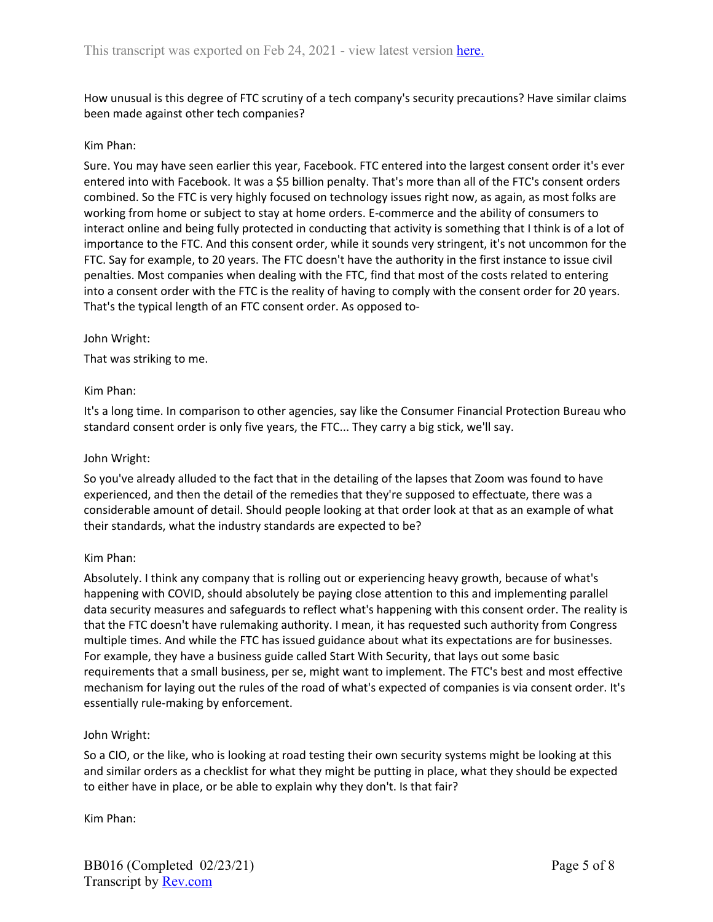How unusual is this degree of FTC scrutiny of a tech company's security precautions? Have similar claims been made against other tech companies?

## Kim Phan:

Sure. You may have seen earlier this year, Facebook. FTC entered into the largest consent order it's ever entered into with Facebook. It was a \$5 billion penalty. That's more than all of the FTC's consent orders combined. So the FTC is very highly focused on technology issues right now, as again, as most folks are working from home or subject to stay at home orders. E-commerce and the ability of consumers to interact online and being fully protected in conducting that activity is something that I think is of a lot of importance to the FTC. And this consent order, while it sounds very stringent, it's not uncommon for the FTC. Say for example, to 20 years. The FTC doesn't have the authority in the first instance to issue civil penalties. Most companies when dealing with the FTC, find that most of the costs related to entering into a consent order with the FTC is the reality of having to comply with the consent order for 20 years. That's the typical length of an FTC consent order. As opposed to-

### John Wright:

That was striking to me.

## Kim Phan:

It's a long time. In comparison to other agencies, say like the Consumer Financial Protection Bureau who standard consent order is only five years, the FTC... They carry a big stick, we'll say.

### John Wright:

So you've already alluded to the fact that in the detailing of the lapses that Zoom was found to have experienced, and then the detail of the remedies that they're supposed to effectuate, there was a considerable amount of detail. Should people looking at that order look at that as an example of what their standards, what the industry standards are expected to be?

### Kim Phan:

Absolutely. I think any company that is rolling out or experiencing heavy growth, because of what's happening with COVID, should absolutely be paying close attention to this and implementing parallel data security measures and safeguards to reflect what's happening with this consent order. The reality is that the FTC doesn't have rulemaking authority. I mean, it has requested such authority from Congress multiple times. And while the FTC has issued guidance about what its expectations are for businesses. For example, they have a business guide called Start With Security, that lays out some basic requirements that a small business, per se, might want to implement. The FTC's best and most effective mechanism for laying out the rules of the road of what's expected of companies is via consent order. It's essentially rule-making by enforcement.

### John Wright:

So a CIO, or the like, who is looking at road testing their own security systems might be looking at this and similar orders as a checklist for what they might be putting in place, what they should be expected to either have in place, or be able to explain why they don't. Is that fair?

Kim Phan: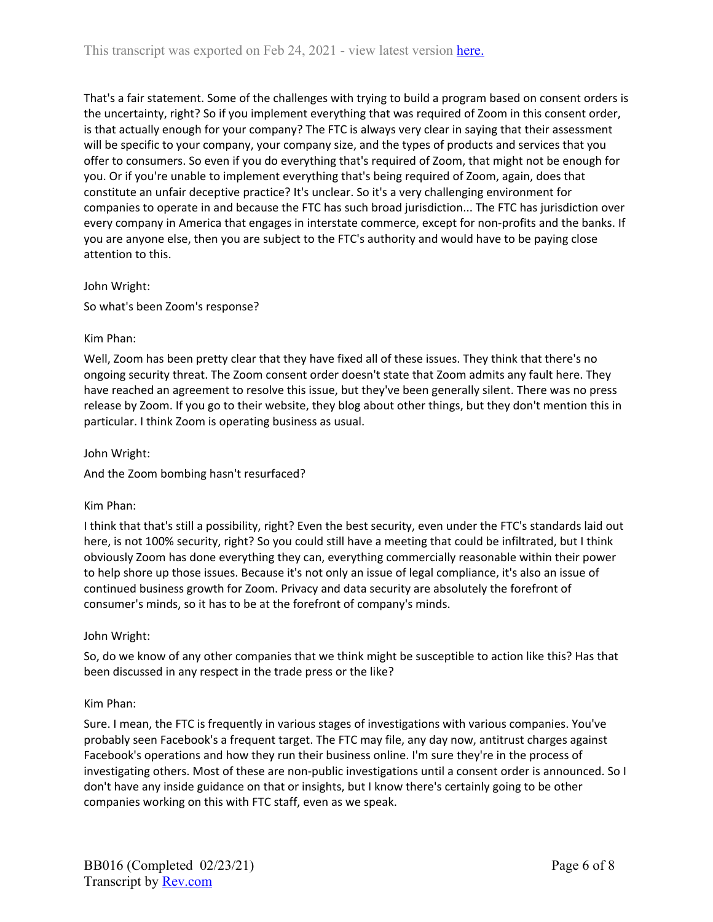That's a fair statement. Some of the challenges with trying to build a program based on consent orders is the uncertainty, right? So if you implement everything that was required of Zoom in this consent order, is that actually enough for your company? The FTC is always very clear in saying that their assessment will be specific to your company, your company size, and the types of products and services that you offer to consumers. So even if you do everything that's required of Zoom, that might not be enough for you. Or if you're unable to implement everything that's being required of Zoom, again, does that constitute an unfair deceptive practice? It's unclear. So it's a very challenging environment for companies to operate in and because the FTC has such broad jurisdiction... The FTC has jurisdiction over every company in America that engages in interstate commerce, except for non-profits and the banks. If you are anyone else, then you are subject to the FTC's authority and would have to be paying close attention to this.

## John Wright:

So what's been Zoom's response?

## Kim Phan:

Well, Zoom has been pretty clear that they have fixed all of these issues. They think that there's no ongoing security threat. The Zoom consent order doesn't state that Zoom admits any fault here. They have reached an agreement to resolve this issue, but they've been generally silent. There was no press release by Zoom. If you go to their website, they blog about other things, but they don't mention this in particular. I think Zoom is operating business as usual.

John Wright:

And the Zoom bombing hasn't resurfaced?

### Kim Phan:

I think that that's still a possibility, right? Even the best security, even under the FTC's standards laid out here, is not 100% security, right? So you could still have a meeting that could be infiltrated, but I think obviously Zoom has done everything they can, everything commercially reasonable within their power to help shore up those issues. Because it's not only an issue of legal compliance, it's also an issue of continued business growth for Zoom. Privacy and data security are absolutely the forefront of consumer's minds, so it has to be at the forefront of company's minds.

### John Wright:

So, do we know of any other companies that we think might be susceptible to action like this? Has that been discussed in any respect in the trade press or the like?

# Kim Phan:

Sure. I mean, the FTC is frequently in various stages of investigations with various companies. You've probably seen Facebook's a frequent target. The FTC may file, any day now, antitrust charges against Facebook's operations and how they run their business online. I'm sure they're in the process of investigating others. Most of these are non-public investigations until a consent order is announced. So I don't have any inside guidance on that or insights, but I know there's certainly going to be other companies working on this with FTC staff, even as we speak.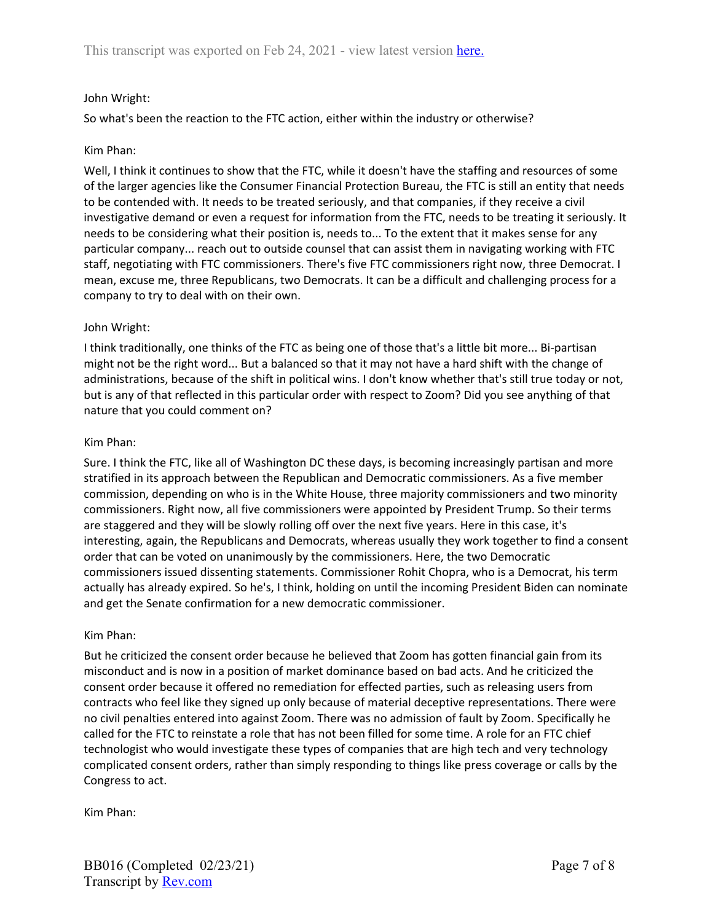## John Wright:

So what's been the reaction to the FTC action, either within the industry or otherwise?

### Kim Phan:

Well, I think it continues to show that the FTC, while it doesn't have the staffing and resources of some of the larger agencies like the Consumer Financial Protection Bureau, the FTC is still an entity that needs to be contended with. It needs to be treated seriously, and that companies, if they receive a civil investigative demand or even a request for information from the FTC, needs to be treating it seriously. It needs to be considering what their position is, needs to... To the extent that it makes sense for any particular company... reach out to outside counsel that can assist them in navigating working with FTC staff, negotiating with FTC commissioners. There's five FTC commissioners right now, three Democrat. I mean, excuse me, three Republicans, two Democrats. It can be a difficult and challenging process for a company to try to deal with on their own.

#### John Wright:

I think traditionally, one thinks of the FTC as being one of those that's a little bit more... Bi-partisan might not be the right word... But a balanced so that it may not have a hard shift with the change of administrations, because of the shift in political wins. I don't know whether that's still true today or not, but is any of that reflected in this particular order with respect to Zoom? Did you see anything of that nature that you could comment on?

#### Kim Phan:

Sure. I think the FTC, like all of Washington DC these days, is becoming increasingly partisan and more stratified in its approach between the Republican and Democratic commissioners. As a five member commission, depending on who is in the White House, three majority commissioners and two minority commissioners. Right now, all five commissioners were appointed by President Trump. So their terms are staggered and they will be slowly rolling off over the next five years. Here in this case, it's interesting, again, the Republicans and Democrats, whereas usually they work together to find a consent order that can be voted on unanimously by the commissioners. Here, the two Democratic commissioners issued dissenting statements. Commissioner Rohit Chopra, who is a Democrat, his term actually has already expired. So he's, I think, holding on until the incoming President Biden can nominate and get the Senate confirmation for a new democratic commissioner.

#### Kim Phan:

But he criticized the consent order because he believed that Zoom has gotten financial gain from its misconduct and is now in a position of market dominance based on bad acts. And he criticized the consent order because it offered no remediation for effected parties, such as releasing users from contracts who feel like they signed up only because of material deceptive representations. There were no civil penalties entered into against Zoom. There was no admission of fault by Zoom. Specifically he called for the FTC to reinstate a role that has not been filled for some time. A role for an FTC chief technologist who would investigate these types of companies that are high tech and very technology complicated consent orders, rather than simply responding to things like press coverage or calls by the Congress to act.

Kim Phan: